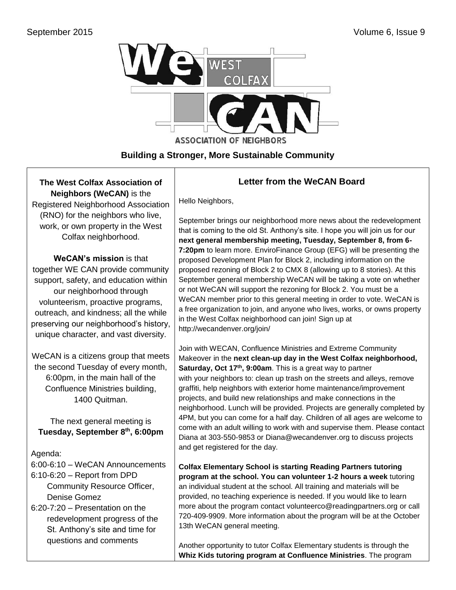

## **Building a Stronger, More Sustainable Community**

**The West Colfax Association of Neighbors (WeCAN)** is the Registered Neighborhood Association

(RNO) for the neighbors who live, work, or own property in the West Colfax neighborhood.

**WeCAN's mission** is that together WE CAN provide community support, safety, and education within our neighborhood through volunteerism, proactive programs, outreach, and kindness; all the while preserving our neighborhood's history, unique character, and vast diversity.

WeCAN is a citizens group that meets the second Tuesday of every month, 6:00pm, in the main hall of the Confluence Ministries building, 1400 Quitman.

The next general meeting is **Tuesday, September 8th, 6:00pm**

Agenda:

6:00-6:10 – WeCAN Announcements 6:10-6:20 – Report from DPD Community Resource Officer, Denise Gomez

6:20-7:20 – Presentation on the redevelopment progress of the St. Anthony's site and time for questions and comments

# **Letter from the WeCAN Board**

Hello Neighbors,

September brings our neighborhood more news about the redevelopment that is coming to the old St. Anthony's site. I hope you will join us for our **next general membership meeting, Tuesday, September 8, from 6- 7:20pm** to learn more. EnviroFinance Group (EFG) will be presenting the proposed Development Plan for Block 2, including information on the proposed rezoning of Block 2 to CMX 8 (allowing up to 8 stories). At this September general membership WeCAN will be taking a vote on whether or not WeCAN will support the rezoning for Block 2. You must be a WeCAN member prior to this general meeting in order to vote. WeCAN is a free organization to join, and anyone who lives, works, or owns property in the West Colfax neighborhood can join! Sign up at <http://wecandenver.org/join/>

Join with WECAN, Confluence Ministries and Extreme Community Makeover in the **next clean-up day in the West Colfax neighborhood, Saturday, Oct 17th , 9:00am**. This is a great way to partner with your neighbors to: clean up trash on the streets and alleys, remove graffiti, help neighbors with exterior home maintenance/improvement projects, and build new relationships and make connections in the neighborhood. Lunch will be provided. Projects are generally completed by 4PM, but you can come for a half day. Children of all ages are welcome to come with an adult willing to work with and supervise them. Please contact Diana at [303-550-9853](tel:303-550-9853) or [Diana@wecandenver.org](mailto:Diana@wecandenver.org) to discuss projects and get registered for the day.

**Colfax Elementary School is starting Reading Partners tutoring program at the school. You can volunteer 1-2 hours a week** tutoring an individual student at the school. All training and materials will be provided, no teaching experience is needed. If you would like to learn more about the program contact [volunteerco@readingpartners.org](mailto:volunteerco@readingpartners.org) or call [720-409-9909.](tel:720-409-9909) More information about the program will be at the October 13th WeCAN general meeting.

Another opportunity to tutor Colfax Elementary students is through the **Whiz Kids tutoring program at Confluence Ministries**. The program